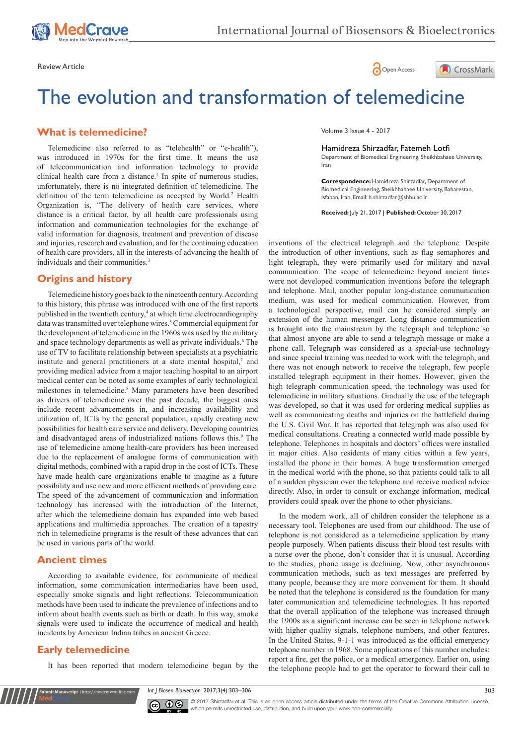





# The evolution and transformation of telemedicine

#### **What is telemedicine?**

and injuries, research and evaluation, and for the continuing education of health care providers, all in the interests of advancing the health of individuals and their communities.<sup>3</sup> Telemedicine also referred to as "telehealth" or "e-health"), was introduced in 1970s for the first time. It means the use of telecommunication and information technology to provide clinical health care from a distance.<sup>1</sup> In spite of numerous studies, unfortunately, there is no integrated definition of telemedicine. The definition of the term telemedicine as accepted by World.<sup>2</sup> Health Organization is, "The delivery of health care services, where distance is a critical factor, by all health care professionals using information and communication technologies for the exchange of valid information for diagnosis, treatment and prevention of disease

#### **Origins and history**

Telemedicine history goes back to the nineteenth century. According to this history, this phrase was introduced with one of the first reports published in the twentieth century,<sup>4</sup> at which time electrocardiography data was transmitted over telephone wires.<sup>5</sup> Commercial equipment for the development of telemedicine in the 1960s was used by the military and space technology departments as well as private individuals.<sup>6</sup> The use of TV to facilitate relationship between specialists at a psychiatric institute and general practitioners at a state mental hospital, $^7$  and providing medical advice from a major teaching hospital to an airport medical center can be noted as some examples of early technological milestones in telemedicine.8 Many parameters have been described as drivers of telemedicine over the past decade, the biggest ones include recent advancements in, and increasing availability and utilization of, ICTs by the general population, rapidly creating new possibilities for health care service and delivery. Developing countries and disadvantaged areas of industrialized nations follows this.<sup>9</sup> The use of telemedicine among health-care providers has been increased due to the replacement of analogue forms of communication with digital methods, combined with a rapid drop in the cost of ICTs. These have made health care organizations enable to imagine as a future possibility and use new and more efficient methods of providing care. The speed of the advancement of communication and information technology has increased with the introduction of the Internet, after which the telemedicine domain has expanded into web based applications and multimedia approaches. The creation of a tapestry rich in telemedicine programs is the result of these advances that can be used in various parts of the world.

#### **Ancient times**

According to available evidence, for communicate of medical information, some communication intermediaries have been used, especially smoke signals and light reflections. Telecommunication methods have been used to indicate the prevalence of infections and to inform about health events such as birth or death. In this way, smoke signals were used to indicate the occurrence of medical and health incidents by American Indian tribes in ancient Greece.

# **Early telemedicine**

It has been reported that modern telemedicine began by the

Volume 3 Issue 4 - 2017

#### Hamidreza Shirzadfar, Fatemeh Lotfi

Department of Biomedical Engineering, Sheikhbahaee University, Iran

**Correspondence:** Hamidreza Shirzadfar, Department of Biomedical Engineering, Sheikhbahaee University, Baharestan, Isfahan, Iran, Email: h.shirzadfar@shbu.ac.ir

**Received:** July 21, 2017 | **Published:** October 30, 2017

inventions of the electrical telegraph and the telephone. Despite the introduction of other inventions, such as flag semaphores and light telegraph, they were primarily used for military and naval communication. The scope of telemedicine beyond ancient times were not developed communication inventions before the telegraph and telephone. Mail, another popular long-distance communication medium, was used for medical communication. However, from a technological perspective, mail can be considered simply an extension of the human messenger. Long distance communication is brought into the mainstream by the telegraph and telephone so that almost anyone are able to send a telegraph message or make a phone call. Telegraph was considered as a special-use technology and since special training was needed to work with the telegraph, and there was not enough network to receive the telegraph, few people installed telegraph equipment in their homes. However, given the high telegraph communication speed, the technology was used for telemedicine in military situations. Gradually the use of the telegraph was developed, so that it was used for ordering medical supplies as well as communicating deaths and injuries on the battlefield during the U.S. Civil War. It has reported that telegraph was also used for medical consultations. Creating a connected world made possible by telephone. Telephones in hospitals and doctors' offices were installed in major cities. Also residents of many cities within a few years, installed the phone in their homes. A huge transformation emerged in the medical world with the phone, so that patients could talk to all of a sudden physician over the telephone and receive medical advice directly. Also, in order to consult or exchange information, medical providers could speak over the phone to other physicians.

In the modern work, all of children consider the telephone as a necessary tool. Telephones are used from our childhood. The use of telephone is not considered as a telemedicine application by many people purposely. When patients discuss their blood test results with a nurse over the phone, don't consider that it is unusual. According to the studies, phone usage is declining. Now, other asynchronous communication methods, such as text messages are preferred by many people, because they are more convenient for them. It should be noted that the telephone is considered as the foundation for many later communication and telemedicine technologies. It has reported that the overall application of the telephone was increased through the 1900s as a significant increase can be seen in telephone network with higher quality signals, telephone numbers, and other features. In the United States, 9-1-1 was introduced as the official emergency telephone number in 1968. Some applications of this number includes: report a fire, get the police, or a medical emergency. Earlier on, using the telephone people had to get the operator to forward their call to

*Int J Biosen Bioelectron.* 2017;3(4):303‒306 303



© 2017 Shirzadfar et al. This is an open access article distributed under the terms of the [Creative Commons Attribution License](https://creativecommons.org/licenses/by-nc/4.0/), which permits unrestricted use, distribution, and build upon your work non-commercially.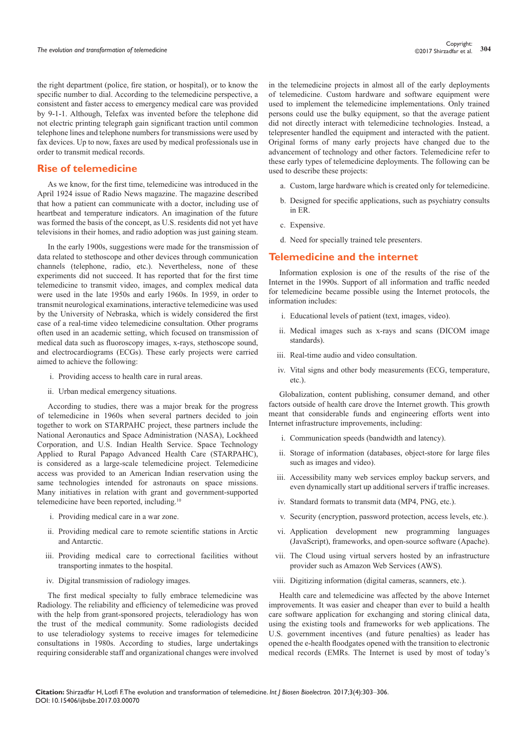the right department (police, fire station, or hospital), or to know the specific number to dial. According to the telemedicine perspective, a consistent and faster access to emergency medical care was provided by 9-1-1. Although, Telefax was invented before the telephone did not electric printing telegraph gain significant traction until common telephone lines and telephone numbers for transmissions were used by fax devices. Up to now, faxes are used by medical professionals use in order to transmit medical records.

## **Rise of telemedicine**

As we know, for the first time, telemedicine was introduced in the April 1924 issue of Radio News magazine. The magazine described that how a patient can communicate with a doctor, including use of heartbeat and temperature indicators. An imagination of the future was formed the basis of the concept, as U.S. residents did not yet have televisions in their homes, and radio adoption was just gaining steam.

In the early 1900s, suggestions were made for the transmission of data related to stethoscope and other devices through communication channels (telephone, radio, etc.). Nevertheless, none of these experiments did not succeed. It has reported that for the first time telemedicine to transmit video, images, and complex medical data were used in the late 1950s and early 1960s. In 1959, in order to transmit neurological examinations, interactive telemedicine was used by the University of Nebraska, which is widely considered the first case of a real-time video telemedicine consultation. Other programs often used in an academic setting, which focused on transmission of medical data such as fluoroscopy images, x-rays, stethoscope sound, and electrocardiograms (ECGs). These early projects were carried aimed to achieve the following:

- i. Providing access to health care in rural areas.
- ii. Urban medical emergency situations.

According to studies, there was a major break for the progress of telemedicine in 1960s when several partners decided to join together to work on STARPAHC project, these partners include the National Aeronautics and Space Administration (NASA), Lockheed Corporation, and U.S. Indian Health Service. Space Technology Applied to Rural Papago Advanced Health Care (STARPAHC), is considered as a large-scale telemedicine project. Telemedicine access was provided to an American Indian reservation using the same technologies intended for astronauts on space missions. Many initiatives in relation with grant and government-supported telemedicine have been reported, including.10

- i. Providing medical care in a war zone.
- ii. Providing medical care to remote scientific stations in Arctic and Antarctic.
- iii. Providing medical care to correctional facilities without transporting inmates to the hospital.
- iv. Digital transmission of radiology images.

The first medical specialty to fully embrace telemedicine was Radiology. The reliability and efficiency of telemedicine was proved with the help from grant-sponsored projects, teleradiology has won the trust of the medical community. Some radiologists decided to use teleradiology systems to receive images for telemedicine consultations in 1980s. According to studies, large undertakings requiring considerable staff and organizational changes were involved

in the telemedicine projects in almost all of the early deployments of telemedicine. Custom hardware and software equipment were used to implement the telemedicine implementations. Only trained persons could use the bulky equipment, so that the average patient did not directly interact with telemedicine technologies. Instead, a telepresenter handled the equipment and interacted with the patient. Original forms of many early projects have changed due to the advancement of technology and other factors. Telemedicine refer to these early types of telemedicine deployments. The following can be used to describe these projects:

- a. Custom, large hardware which is created only for telemedicine.
- b. Designed for specific applications, such as psychiatry consults in ER.
- c. Expensive.
- d. Need for specially trained tele presenters.

#### **Telemedicine and the internet**

Information explosion is one of the results of the rise of the Internet in the 1990s. Support of all information and traffic needed for telemedicine became possible using the Internet protocols, the information includes:

- i. Educational levels of patient (text, images, video).
- ii. Medical images such as x-rays and scans (DICOM image standards).
- iii. Real-time audio and video consultation.
- iv. Vital signs and other body measurements (ECG, temperature, etc.).

Globalization, content publishing, consumer demand, and other factors outside of health care drove the Internet growth. This growth meant that considerable funds and engineering efforts went into Internet infrastructure improvements, including:

- i. Communication speeds (bandwidth and latency).
- ii. Storage of information (databases, object-store for large files such as images and video).
- iii. Accessibility many web services employ backup servers, and even dynamically start up additional servers if traffic increases.
- iv. Standard formats to transmit data (MP4, PNG, etc.).
- v. Security (encryption, password protection, access levels, etc.).
- vi. Application development new programming languages (JavaScript), frameworks, and open-source software (Apache).
- vii. The Cloud using virtual servers hosted by an infrastructure provider such as Amazon Web Services (AWS).
- viii. Digitizing information (digital cameras, scanners, etc.).

Health care and telemedicine was affected by the above Internet improvements. It was easier and cheaper than ever to build a health care software application for exchanging and storing clinical data, using the existing tools and frameworks for web applications. The U.S. government incentives (and future penalties) as leader has opened the e-health floodgates opened with the transition to electronic medical records (EMRs. The Internet is used by most of today's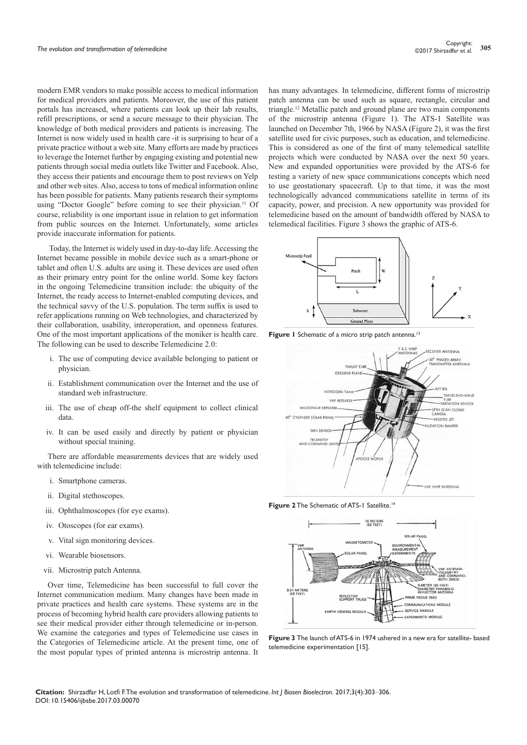modern EMR vendors to make possible access to medical information for medical providers and patients. Moreover, the use of this patient portals has increased, where patients can look up their lab results, refill prescriptions, or send a secure message to their physician. The knowledge of both medical providers and patients is increasing. The Internet is now widely used in health care -it is surprising to hear of a private practice without a web site. Many efforts are made by practices to leverage the Internet further by engaging existing and potential new patients through social media outlets like Twitter and Facebook. Also, they access their patients and encourage them to post reviews on Yelp and other web sites. Also, access to tons of medical information online has been possible for patients. Many patients research their symptoms using "Doctor Google" before coming to see their physician.<sup>11</sup> Of course, reliability is one important issue in relation to get information from public sources on the Internet. Unfortunately, some articles provide inaccurate information for patients.

 Today, the Internet is widely used in day-to-day life. Accessing the Internet became possible in mobile device such as a smart-phone or tablet and often U.S. adults are using it. These devices are used often as their primary entry point for the online world. Some key factors in the ongoing Telemedicine transition include: the ubiquity of the Internet, the ready access to Internet-enabled computing devices, and the technical savvy of the U.S. population. The term suffix is used to refer applications running on Web technologies, and characterized by their collaboration, usability, interoperation, and openness features. One of the most important applications of the moniker is health care. The following can be used to describe Telemedicine 2.0:

- i. The use of computing device available belonging to patient or physician.
- ii. Establishment communication over the Internet and the use of standard web infrastructure.
- iii. The use of cheap off-the shelf equipment to collect clinical data.
- iv. It can be used easily and directly by patient or physician without special training.

There are affordable measurements devices that are widely used with telemedicine include:

- i. Smartphone cameras.
- ii. Digital stethoscopes.
- iii. Ophthalmoscopes (for eye exams).
- iv. Otoscopes (for ear exams).
- v. Vital sign monitoring devices.
- vi. Wearable biosensors.
- vii. Microstrip patch Antenna.

Over time, Telemedicine has been successful to full cover the Internet communication medium. Many changes have been made in private practices and health care systems. These systems are in the process of becoming hybrid health care providers allowing patients to see their medical provider either through telemedicine or in-person. We examine the categories and types of Telemedicine use cases in the Categories of Telemedicine article. At the present time, one of the most popular types of printed antenna is microstrip antenna. It

has many advantages. In telemedicine, different forms of microstrip patch antenna can be used such as square, rectangle, circular and triangle.12 Metallic patch and ground plane are two main components of the microstrip antenna (Figure 1). The ATS-1 Satellite was launched on December 7th, 1966 by NASA (Figure 2), it was the first satellite used for civic purposes, such as education, and telemedicine. This is considered as one of the first of many telemedical satellite projects which were conducted by NASA over the next 50 years. New and expanded opportunities were provided by the ATS-6 for testing a variety of new space communications concepts which need to use geostationary spacecraft. Up to that time, it was the most technologically advanced communications satellite in terms of its capacity, power, and precision. A new opportunity was provided for telemedicine based on the amount of bandwidth offered by NASA to telemedical facilities. Figure 3 shows the graphic of ATS-6.



Figure 1 Schematic of a micro strip patch antenna.<sup>13</sup>



**Figure 2** The Schematic of ATS-1 Satellite.<sup>14</sup>



**Figure 3** The launch of ATS-6 in 1974 ushered in a new era for satellite- based telemedicine experimentation [15].